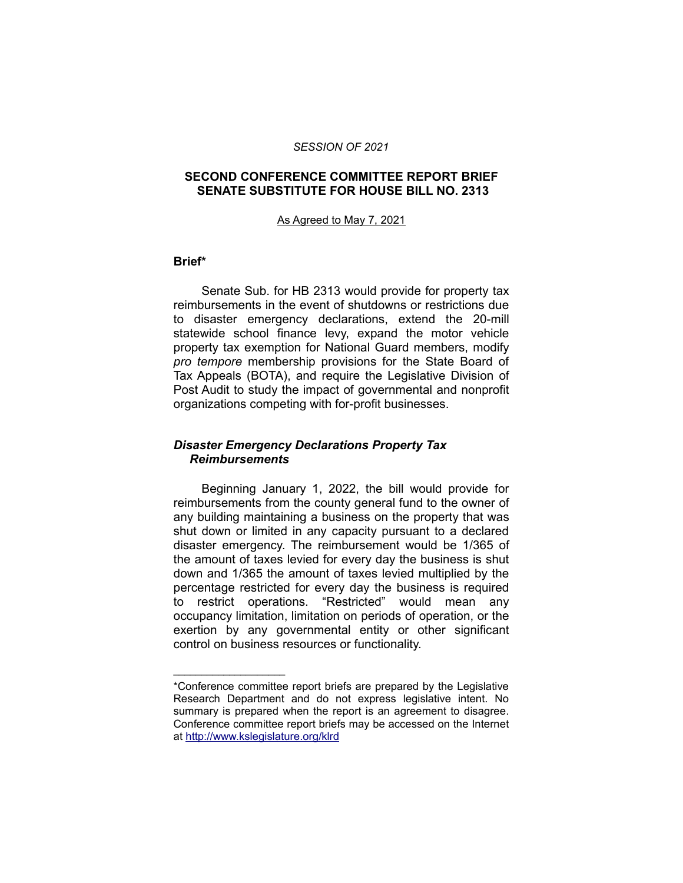#### *SESSION OF 2021*

# **SECOND CONFERENCE COMMITTEE REPORT BRIEF SENATE SUBSTITUTE FOR HOUSE BILL NO. 2313**

#### As Agreed to May 7, 2021

#### **Brief\***

\_\_\_\_\_\_\_\_\_\_\_\_\_\_\_\_\_\_\_\_

Senate Sub. for HB 2313 would provide for property tax reimbursements in the event of shutdowns or restrictions due to disaster emergency declarations, extend the 20-mill statewide school finance levy, expand the motor vehicle property tax exemption for National Guard members, modify *pro tempore* membership provisions for the State Board of Tax Appeals (BOTA), and require the Legislative Division of Post Audit to study the impact of governmental and nonprofit organizations competing with for-profit businesses.

## *Disaster Emergency Declarations Property Tax Reimbursements*

Beginning January 1, 2022, the bill would provide for reimbursements from the county general fund to the owner of any building maintaining a business on the property that was shut down or limited in any capacity pursuant to a declared disaster emergency. The reimbursement would be 1/365 of the amount of taxes levied for every day the business is shut down and 1/365 the amount of taxes levied multiplied by the percentage restricted for every day the business is required to restrict operations. "Restricted" would mean any occupancy limitation, limitation on periods of operation, or the exertion by any governmental entity or other significant control on business resources or functionality.

<sup>\*</sup>Conference committee report briefs are prepared by the Legislative Research Department and do not express legislative intent. No summary is prepared when the report is an agreement to disagree. Conference committee report briefs may be accessed on the Internet at<http://www.kslegislature.org/klrd>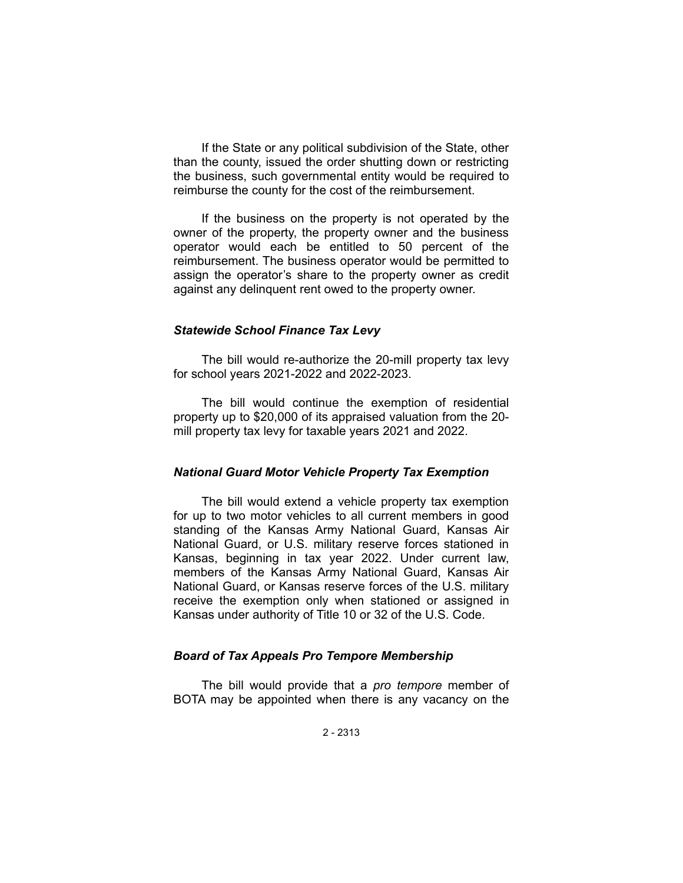If the State or any political subdivision of the State, other than the county, issued the order shutting down or restricting the business, such governmental entity would be required to reimburse the county for the cost of the reimbursement.

If the business on the property is not operated by the owner of the property, the property owner and the business operator would each be entitled to 50 percent of the reimbursement. The business operator would be permitted to assign the operator's share to the property owner as credit against any delinquent rent owed to the property owner.

# *Statewide School Finance Tax Levy*

The bill would re-authorize the 20-mill property tax levy for school years 2021-2022 and 2022-2023.

The bill would continue the exemption of residential property up to \$20,000 of its appraised valuation from the 20 mill property tax levy for taxable years 2021 and 2022.

# *National Guard Motor Vehicle Property Tax Exemption*

The bill would extend a vehicle property tax exemption for up to two motor vehicles to all current members in good standing of the Kansas Army National Guard, Kansas Air National Guard, or U.S. military reserve forces stationed in Kansas, beginning in tax year 2022. Under current law, members of the Kansas Army National Guard, Kansas Air National Guard, or Kansas reserve forces of the U.S. military receive the exemption only when stationed or assigned in Kansas under authority of Title 10 or 32 of the U.S. Code.

# *Board of Tax Appeals Pro Tempore Membership*

The bill would provide that a *pro tempore* member of BOTA may be appointed when there is any vacancy on the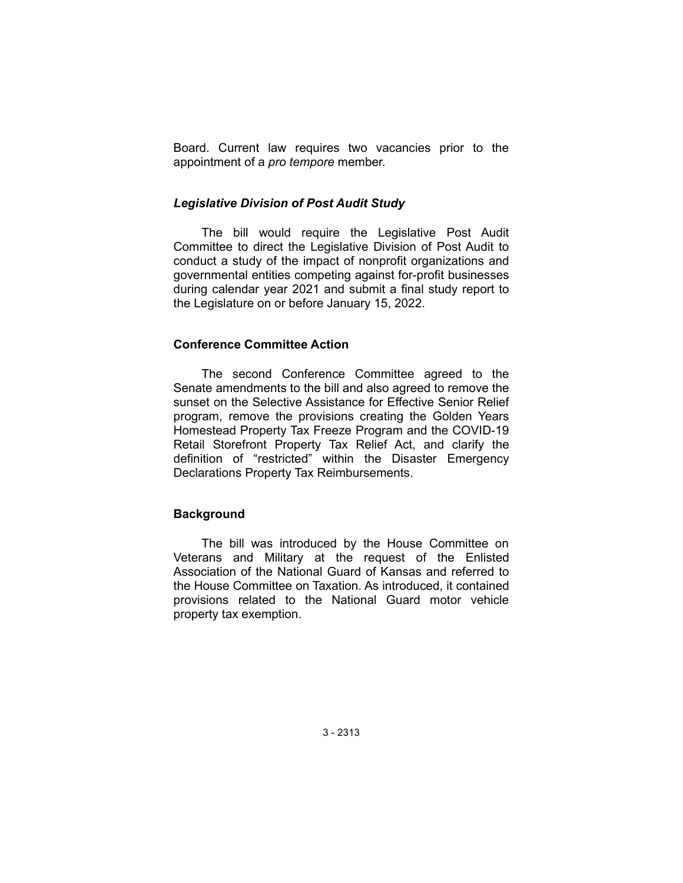Board. Current law requires two vacancies prior to the appointment of a *pro tempore* member.

## *Legislative Division of Post Audit Study*

The bill would require the Legislative Post Audit Committee to direct the Legislative Division of Post Audit to conduct a study of the impact of nonprofit organizations and governmental entities competing against for-profit businesses during calendar year 2021 and submit a final study report to the Legislature on or before January 15, 2022.

## **Conference Committee Action**

The second Conference Committee agreed to the Senate amendments to the bill and also agreed to remove the sunset on the Selective Assistance for Effective Senior Relief program, remove the provisions creating the Golden Years Homestead Property Tax Freeze Program and the COVID-19 Retail Storefront Property Tax Relief Act, and clarify the definition of "restricted" within the Disaster Emergency Declarations Property Tax Reimbursements.

# **Background**

The bill was introduced by the House Committee on Veterans and Military at the request of the Enlisted Association of the National Guard of Kansas and referred to the House Committee on Taxation. As introduced, it contained provisions related to the National Guard motor vehicle property tax exemption.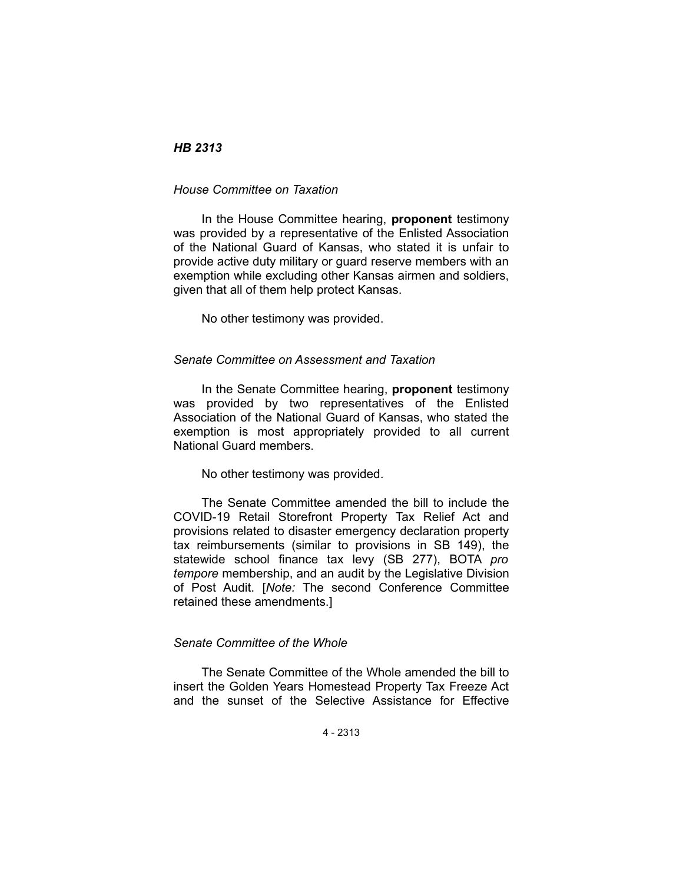# *HB 2313*

## *House Committee on Taxation*

In the House Committee hearing, **proponent** testimony was provided by a representative of the Enlisted Association of the National Guard of Kansas, who stated it is unfair to provide active duty military or guard reserve members with an exemption while excluding other Kansas airmen and soldiers, given that all of them help protect Kansas.

No other testimony was provided.

#### *Senate Committee on Assessment and Taxation*

In the Senate Committee hearing, **proponent** testimony was provided by two representatives of the Enlisted Association of the National Guard of Kansas, who stated the exemption is most appropriately provided to all current National Guard members.

No other testimony was provided.

The Senate Committee amended the bill to include the COVID-19 Retail Storefront Property Tax Relief Act and provisions related to disaster emergency declaration property tax reimbursements (similar to provisions in SB 149), the statewide school finance tax levy (SB 277), BOTA *pro tempore* membership, and an audit by the Legislative Division of Post Audit. [*Note:* The second Conference Committee retained these amendments.]

# *Senate Committee of the Whole*

The Senate Committee of the Whole amended the bill to insert the Golden Years Homestead Property Tax Freeze Act and the sunset of the Selective Assistance for Effective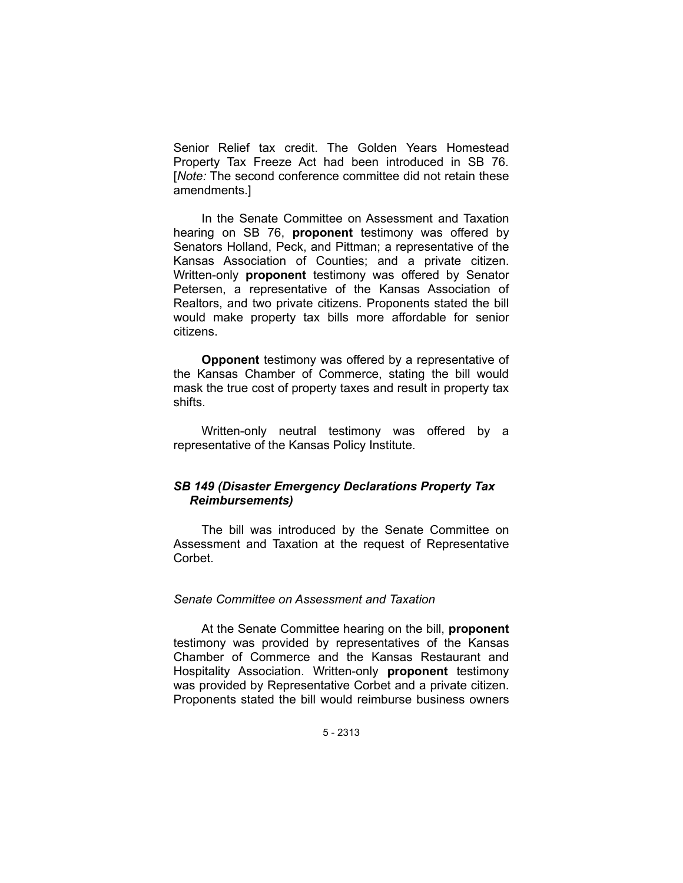Senior Relief tax credit. The Golden Years Homestead Property Tax Freeze Act had been introduced in SB 76. [*Note:* The second conference committee did not retain these amendments.]

In the Senate Committee on Assessment and Taxation hearing on SB 76, **proponent** testimony was offered by Senators Holland, Peck, and Pittman; a representative of the Kansas Association of Counties; and a private citizen. Written-only **proponent** testimony was offered by Senator Petersen, a representative of the Kansas Association of Realtors, and two private citizens. Proponents stated the bill would make property tax bills more affordable for senior citizens.

**Opponent** testimony was offered by a representative of the Kansas Chamber of Commerce, stating the bill would mask the true cost of property taxes and result in property tax shifts.

Written-only neutral testimony was offered by a representative of the Kansas Policy Institute.

# *SB 149 (Disaster Emergency Declarations Property Tax Reimbursements)*

The bill was introduced by the Senate Committee on Assessment and Taxation at the request of Representative Corbet.

# *Senate Committee on Assessment and Taxation*

At the Senate Committee hearing on the bill, **proponent** testimony was provided by representatives of the Kansas Chamber of Commerce and the Kansas Restaurant and Hospitality Association. Written-only **proponent** testimony was provided by Representative Corbet and a private citizen. Proponents stated the bill would reimburse business owners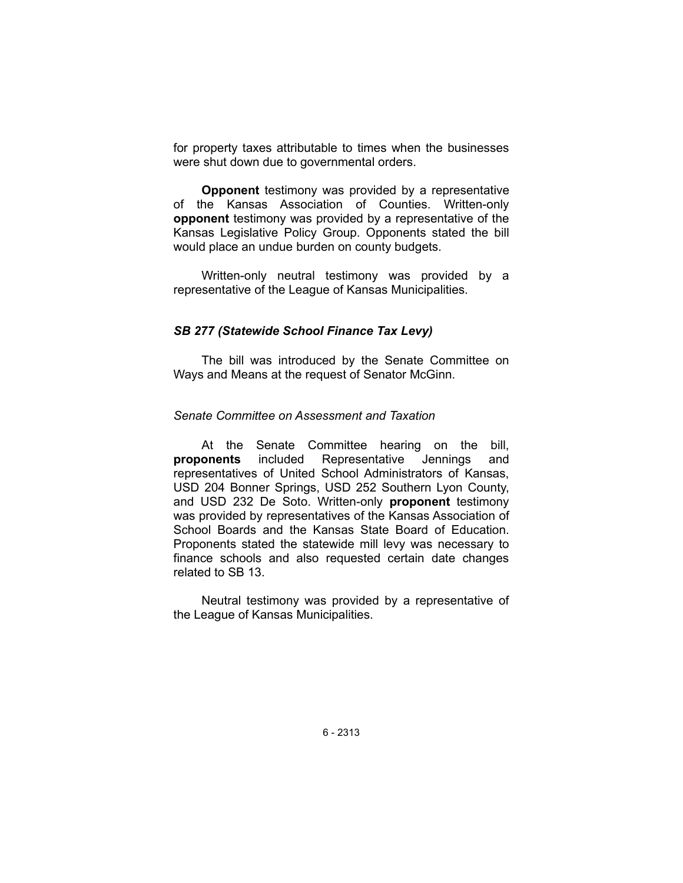for property taxes attributable to times when the businesses were shut down due to governmental orders.

**Opponent** testimony was provided by a representative of the Kansas Association of Counties. Written-only **opponent** testimony was provided by a representative of the Kansas Legislative Policy Group. Opponents stated the bill would place an undue burden on county budgets.

Written-only neutral testimony was provided by a representative of the League of Kansas Municipalities.

## *SB 277 (Statewide School Finance Tax Levy)*

The bill was introduced by the Senate Committee on Ways and Means at the request of Senator McGinn.

#### *Senate Committee on Assessment and Taxation*

At the Senate Committee hearing on the bill, **proponents** included Representative Jennings and representatives of United School Administrators of Kansas, USD 204 Bonner Springs, USD 252 Southern Lyon County, and USD 232 De Soto. Written-only **proponent** testimony was provided by representatives of the Kansas Association of School Boards and the Kansas State Board of Education. Proponents stated the statewide mill levy was necessary to finance schools and also requested certain date changes related to SB 13.

Neutral testimony was provided by a representative of the League of Kansas Municipalities.

6 - 2313